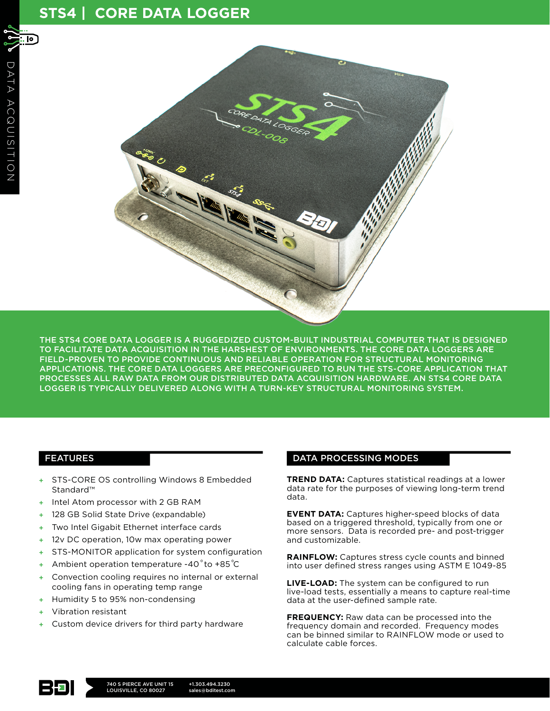# **STS4 | CORE DATA LOGGER**

 $\overline{P}$ 



THE STS4 CORE DATA LOGGER IS A RUGGEDIZED CUSTOM-BUILT INDUSTRIAL COMPUTER THAT IS DESIGNED TO FACILITATE DATA ACQUISITION IN THE HARSHEST OF ENVIRONMENTS. THE CORE DATA LOGGERS ARE FIELD-PROVEN TO PROVIDE CONTINUOUS AND RELIABLE OPERATION FOR STRUCTURAL MONITORING APPLICATIONS. THE CORE DATA LOGGERS ARE PRECONFIGURED TO RUN THE STS-CORE APPLICATION THAT PROCESSES ALL RAW DATA FROM OUR DISTRIBUTED DATA ACQUISITION HARDWARE. AN STS4 CORE DATA LOGGER IS TYPICALLY DELIVERED ALONG WITH A TURN-KEY STRUCTURAL MONITORING SYSTEM.

# FEATURES

- + STS-CORE OS controlling Windows 8 Embedded Standard™
- + Intel Atom processor with 2 GB RAM
- + 128 GB Solid State Drive (expandable)
- + Two Intel Gigabit Ethernet interface cards
- 12v DC operation, 10w max operating power
- + STS-MONITOR application for system configuration
- $+$  Ambient operation temperature -40 $\degree$ to +85 $\degree$ C
- Convection cooling requires no internal or external cooling fans in operating temp range
- Humidity 5 to 95% non-condensing
- + Vibration resistant
- Custom device drivers for third party hardware

# DATA PROCESSING MODES

**TREND DATA:** Captures statistical readings at a lower data rate for the purposes of viewing long-term trend data.

**EVENT DATA:** Captures higher-speed blocks of data based on a triggered threshold, typically from one or more sensors. Data is recorded pre- and post-trigger and customizable.

**RAINFLOW:** Captures stress cycle counts and binned into user defined stress ranges using ASTM E 1049-85

**LIVE-LOAD:** The system can be configured to run live-load tests, essentially a means to capture real-time data at the user-defined sample rate.

**FREQUENCY:** Raw data can be processed into the frequency domain and recorded. Frequency modes can be binned similar to RAINFLOW mode or used to calculate cable forces.